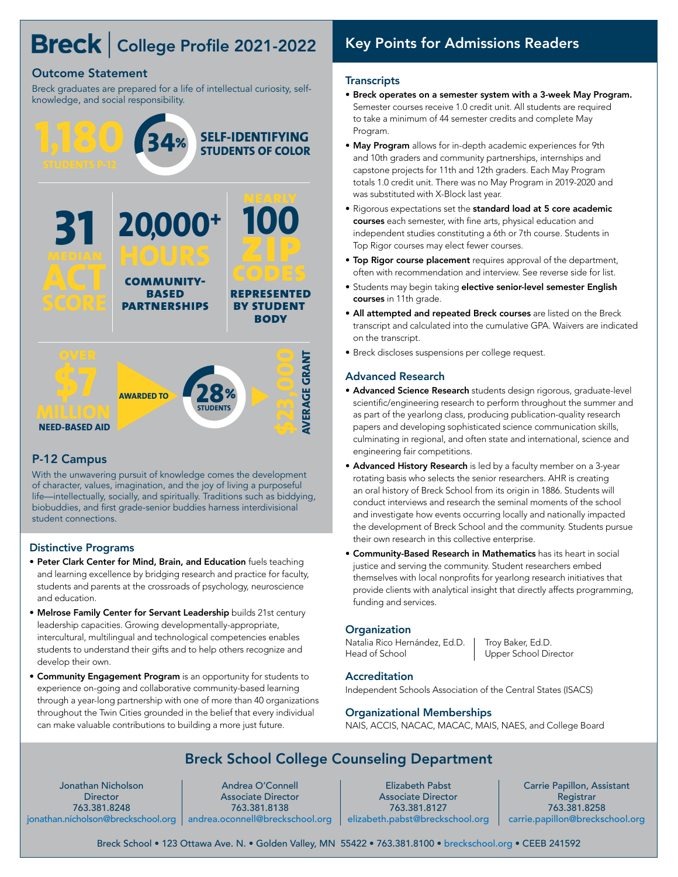# Breck | College Profile 2021-2022

## Outcome Statement

Breck graduates are prepared for a life of intellectual curiosity, selfknowledge, and social responsibility.



## P-12 Campus

With the unwavering pursuit of knowledge comes the development of character, values, imagination, and the joy of living a purposeful life—intellectually, socially, and spiritually. Traditions such as biddying, biobuddies, and first grade-senior buddies harness interdivisional student connections.

### Distinctive Programs

- Peter Clark Center for Mind, Brain, and Education fuels teaching and learning excellence by bridging research and practice for faculty, students and parents at the crossroads of psychology, neuroscience and education.
- Melrose Family Center for Servant Leadership builds 21st century leadership capacities. Growing developmentally-appropriate, intercultural, multilingual and technological competencies enables students to understand their gifts and to help others recognize and develop their own.
- Community Engagement Program is an opportunity for students to experience on-going and collaborative community-based learning through a year-long partnership with one of more than 40 organizations throughout the Twin Cities grounded in the belief that every individual can make valuable contributions to building a more just future.

## Key Points for Admissions Readers

### **Transcripts**

- Breck operates on a semester system with a 3-week May Program. Semester courses receive 1.0 credit unit. All students are required to take a minimum of 44 semester credits and complete May Program.
- May Program allows for in-depth academic experiences for 9th and 10th graders and community partnerships, internships and capstone projects for 11th and 12th graders. Each May Program totals 1.0 credit unit. There was no May Program in 2019-2020 and was substituted with X-Block last year.
- Rigorous expectations set the standard load at 5 core academic courses each semester, with fine arts, physical education and independent studies constituting a 6th or 7th course. Students in Top Rigor courses may elect fewer courses.
- Top Rigor course placement requires approval of the department, often with recommendation and interview. See reverse side for list.
- Students may begin taking elective senior-level semester English courses in 11th grade.
- All attempted and repeated Breck courses are listed on the Breck transcript and calculated into the cumulative GPA. Waivers are indicated on the transcript.
- Breck discloses suspensions per college request.

## Advanced Research

- Advanced Science Research students design rigorous, graduate-level scientific/engineering research to perform throughout the summer and as part of the yearlong class, producing publication-quality research papers and developing sophisticated science communication skills, culminating in regional, and often state and international, science and engineering fair competitions.
- Advanced History Research is led by a faculty member on a 3-year rotating basis who selects the senior researchers. AHR is creating an oral history of Breck School from its origin in 1886. Students will conduct interviews and research the seminal moments of the school and investigate how events occurring locally and nationally impacted the development of Breck School and the community. Students pursue their own research in this collective enterprise.
- Community-Based Research in Mathematics has its heart in social justice and serving the community. Student researchers embed themselves with local nonprofits for yearlong research initiatives that provide clients with analytical insight that directly affects programming, funding and services.

## **Organization**

Natalia Rico Hernández, Ed.D. | Troy Baker, Ed.D. Head of School Upper School Director

### **Accreditation**

Independent Schools Association of the Central States (ISACS)

### Organizational Memberships

NAIS, ACCIS, NACAC, MACAC, MAIS, NAES, and College Board

## Breck School College Counseling Department

Jonathan Nicholson **Director** 763.381.8248 [jonathan.nicholson@breckschool.org](mailto:jonathan.nicholson%40breckschool.org?subject=) | [andrea.oconnell@breckschool.org](mailto:andrea.oconnell%40breckschool.org?subject=)

Andrea O'Connell Associate Director 763.381.8138

Elizabeth Pabst Associate Director 763.381.8127 [elizabeth.pabst@breckschool.org](mailto:elizabeth.pabst%40breckschool.org?subject=)

Carrie Papillon, Assistant Registrar 763.381.8258 [carrie.papillon@breckschool.org](mailto:carrie.papillon%40breckschool.org?subject=)

Breck School • 123 Ottawa Ave. N. • Golden Valley, MN 55422 • 763.381.8100 • [breckschool.org](http://www.breckschool.org) • CEEB 241592